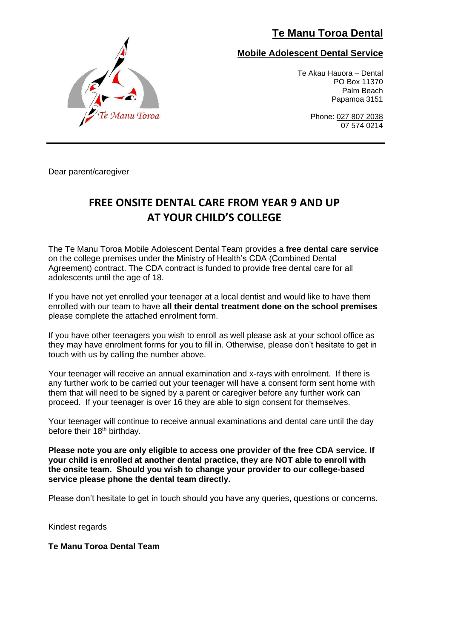## **Te Manu Toroa Dental**



### **Mobile Adolescent Dental Service**

Te Akau Hauora – Dental PO Box 11370 Palm Beach Papamoa 3151

> Phone: 027 807 2038 07 574 0214

Dear parent/caregiver

## **FREE ONSITE DENTAL CARE FROM YEAR 9 AND UP AT YOUR CHILD'S COLLEGE**

The Te Manu Toroa Mobile Adolescent Dental Team provides a **free dental care service** on the college premises under the Ministry of Health's CDA (Combined Dental Agreement) contract. The CDA contract is funded to provide free dental care for all adolescents until the age of 18.

If you have not yet enrolled your teenager at a local dentist and would like to have them enrolled with our team to have **all their dental treatment done on the school premises** please complete the attached enrolment form.

If you have other teenagers you wish to enroll as well please ask at your school office as they may have enrolment forms for you to fill in. Otherwise, please don't hesitate to get in touch with us by calling the number above.

Your teenager will receive an annual examination and x-rays with enrolment. If there is any further work to be carried out your teenager will have a consent form sent home with them that will need to be signed by a parent or caregiver before any further work can proceed. If your teenager is over 16 they are able to sign consent for themselves.

Your teenager will continue to receive annual examinations and dental care until the day before their 18<sup>th</sup> birthday.

**Please note you are only eligible to access one provider of the free CDA service. If your child is enrolled at another dental practice, they are NOT able to enroll with the onsite team. Should you wish to change your provider to our college-based service please phone the dental team directly.**

Please don't hesitate to get in touch should you have any queries, questions or concerns.

Kindest regards

#### **Te Manu Toroa Dental Team**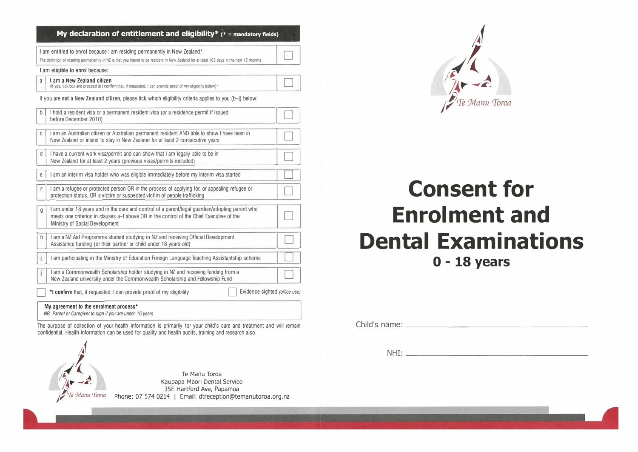|   | I am entitled to enrol because I am residing permanently in New Zealand*                                                                                                                                                     |  |
|---|------------------------------------------------------------------------------------------------------------------------------------------------------------------------------------------------------------------------------|--|
|   | The definition of residing permanently in NZ is that you intend to be resident in New Zealand for at least 183 days in the next 12 months                                                                                    |  |
|   | I am eligible to enrol because:                                                                                                                                                                                              |  |
| a | I am a New Zealand citizen<br>(If yes, tick box and proceed to I confirm that, if requested, I can provide proof of my eligibility below)*                                                                                   |  |
|   | If you are not a New Zealand citizen, please tick which eligibility criteria applies to you (b-i) below:                                                                                                                     |  |
| b | I hold a resident visa or a permanent resident visa (or a residence permit if issued<br>before December 2010)                                                                                                                |  |
| C | I am an Australian citizen or Australian permanent resident AND able to show I have been in<br>New Zealand or intend to stay in New Zealand for at least 2 consecutive years                                                 |  |
| d | I have a current work visa/permit and can show that I am legally able to be in<br>New Zealand for at least 2 years (previous visas/permits included)                                                                         |  |
| e | I am an interim visa holder who was eligible immediately before my interim visa started                                                                                                                                      |  |
| f | I am a refugee or protected person OR in the process of applying for, or appealing refugee or<br>protection status, OR a victim or suspected victim of people trafficking                                                    |  |
| q | I am under 18 years and in the care and control of a parent/legal guardian/adopting parent who<br>meets one criterion in clauses a–f above OR in the control of the Chief Executive of the<br>Ministry of Social Development |  |
| h | I am a NZ Aid Programme student studying in NZ and receiving Official Development<br>Assistance funding (or their partner or child under 18 years old)                                                                       |  |
|   | I am participating in the Ministry of Education Foreign Language Teaching Assistantship scheme                                                                                                                               |  |
|   | I am a Commonwealth Scholarship holder studying in NZ and receiving funding from a<br>New Zealand university under the Commonwealth Scholarship and Fellowship Fund                                                          |  |
|   | Evidence sighted (office use)<br>*I confirm that, if requested, I can provide proof of my eligibility                                                                                                                        |  |

The purpose of collection of your health information is primarily for your child's care and treatment and will remain confidential. Health information can be used for quality and health audits, training and research also.





# **Consent for Enrolment and Dental Examinations O - 18 years**

Child's name:

NHI: \_\_\_\_\_\_\_\_\_\_\_\_\_\_\_ \_